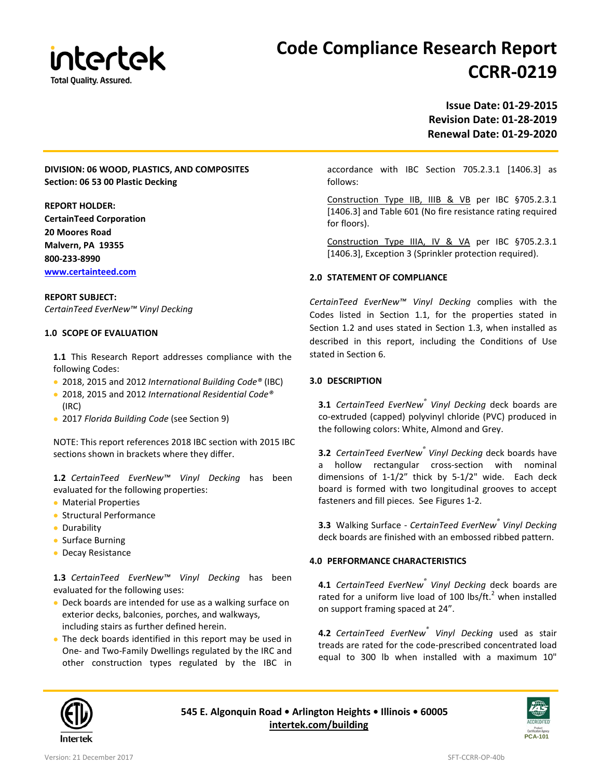

# **Code Compliance Research Report CCRR-0219**

# **Revision Date: 01-28-2019 Renewal Date: 01-29-2020**

## **DIVISION: 06 WOOD, PLASTICS, AND COMPOSITES Section: 06 53 00 Plastic Decking**

#### **REPORT HOLDER:**

**CertainTeed Corporation 20 Moores Road Malvern, PA 19355 800-233-8990 [www.certainteed.com](http://www.certainteed.com/)**

### **REPORT SUBJECT:**

*CertainTeed EverNew™ Vinyl Decking*

#### **1.0 SCOPE OF EVALUATION**

**1.1** This Research Report addresses compliance with the following Codes:

- 2018, 2015 and 2012 *International Building Code®* (IBC)
- 2018, 2015 and 2012 *International Residential Code®*  (IRC)
- 2017 *Florida Building Code* (see Section 9)

NOTE: This report references 2018 IBC section with 2015 IBC sections shown in brackets where they differ.

**1.2** *CertainTeed EverNew™ Vinyl Decking* has been evaluated for the following properties:

- Material Properties
- Structural Performance
- Durability
- Surface Burning
- Decay Resistance

**1.3** *CertainTeed EverNew™ Vinyl Decking* has been evaluated for the following uses:

- Deck boards are intended for use as a walking surface on exterior decks, balconies, porches, and walkways, including stairs as further defined herein.
- The deck boards identified in this report may be used in One- and Two-Family Dwellings regulated by the IRC and other construction types regulated by the IBC in

**Issue Date: 01-29-2015**

accordance with IBC Section 705.2.3.1 [1406.3] as follows:

Construction Type IIB, IIIB & VB per IBC §705.2.3.1 [1406.3] and Table 601 (No fire resistance rating required for floors).

Construction Type IIIA, IV & VA per IBC §705.2.3.1 [1406.3], Exception 3 (Sprinkler protection required).

#### **2.0 STATEMENT OF COMPLIANCE**

*CertainTeed EverNew™ Vinyl Decking* complies with the Codes listed in Section 1.1, for the properties stated in Section 1.2 and uses stated in Section 1.3, when installed as described in this report, including the Conditions of Use stated in Section 6.

#### **3.0 DESCRIPTION**

**3.1** *CertainTeed EverNew® Vinyl Decking* deck boards are co-extruded (capped) polyvinyl chloride (PVC) produced in the following colors: White, Almond and Grey.

**3.2** *CertainTeed EverNew® Vinyl Decking* deck boards have a hollow rectangular cross-section with nominal dimensions of 1-1/2" thick by 5-1/2" wide. Each deck board is formed with two longitudinal grooves to accept fasteners and fill pieces. See Figures 1-2.

**3.3** Walking Surface - *CertainTeed EverNew® Vinyl Decking*  deck boards are finished with an embossed ribbed pattern.

#### **4.0 PERFORMANCE CHARACTERISTICS**

**4.1** *CertainTeed EverNew® Vinyl Decking* deck boards are rated for a uniform live load of 100 lbs/ft. $^2$  when installed on support framing spaced at 24".

**4.2** *CertainTeed EverNew® Vinyl Decking* used as stair treads are rated for the code-prescribed concentrated load equal to 300 lb when installed with a maximum 10"



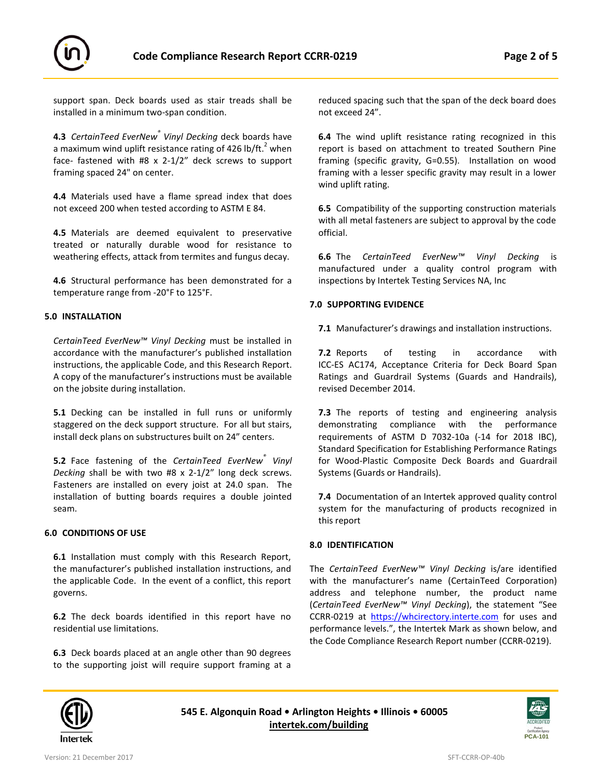

support span. Deck boards used as stair treads shall be installed in a minimum two-span condition.

**4.3** *CertainTeed EverNew® Vinyl Decking* deck boards have a maximum wind uplift resistance rating of 426 lb/ft. $^2$  when face- fastened with #8 x 2-1/2" deck screws to support framing spaced 24" on center.

**4.4** Materials used have a flame spread index that does not exceed 200 when tested according to ASTM E 84.

**4.5** Materials are deemed equivalent to preservative treated or naturally durable wood for resistance to weathering effects, attack from termites and fungus decay.

**4.6** Structural performance has been demonstrated for a temperature range from -20°F to 125°F.

#### **5.0 INSTALLATION**

*CertainTeed EverNew™ Vinyl Decking* must be installed in accordance with the manufacturer's published installation instructions, the applicable Code, and this Research Report. A copy of the manufacturer's instructions must be available on the jobsite during installation.

**5.1** Decking can be installed in full runs or uniformly staggered on the deck support structure. For all but stairs, install deck plans on substructures built on 24" centers.

**5.2** Face fastening of the *CertainTeed EverNew® Vinyl Decking* shall be with two #8 x 2-1/2" long deck screws. Fasteners are installed on every joist at 24.0 span. The installation of butting boards requires a double jointed seam.

#### **6.0 CONDITIONS OF USE**

**6.1** Installation must comply with this Research Report, the manufacturer's published installation instructions, and the applicable Code. In the event of a conflict, this report governs.

**6.2** The deck boards identified in this report have no residential use limitations.

**6.3** Deck boards placed at an angle other than 90 degrees to the supporting joist will require support framing at a reduced spacing such that the span of the deck board does not exceed 24".

**6.4** The wind uplift resistance rating recognized in this report is based on attachment to treated Southern Pine framing (specific gravity, G=0.55). Installation on wood framing with a lesser specific gravity may result in a lower wind uplift rating.

**6.5** Compatibility of the supporting construction materials with all metal fasteners are subject to approval by the code official.

**6.6** The *CertainTeed EverNew™ Vinyl Decking* is manufactured under a quality control program with inspections by Intertek Testing Services NA, Inc

#### **7.0 SUPPORTING EVIDENCE**

**7.1** Manufacturer's drawings and installation instructions.

**7.2** Reports of testing in accordance with ICC-ES AC174, Acceptance Criteria for Deck Board Span Ratings and Guardrail Systems (Guards and Handrails), revised December 2014.

**7.3** The reports of testing and engineering analysis demonstrating compliance with the performance requirements of ASTM D 7032-10a (-14 for 2018 IBC), Standard Specification for Establishing Performance Ratings for Wood-Plastic Composite Deck Boards and Guardrail Systems (Guards or Handrails).

**7.4** Documentation of an Intertek approved quality control system for the manufacturing of products recognized in this report

#### **8.0 IDENTIFICATION**

The *CertainTeed EverNew™ Vinyl Decking* is/are identified with the manufacturer's name (CertainTeed Corporation) address and telephone number, the product name (*CertainTeed EverNew™ Vinyl Decking*), the statement "See CCRR-0219 at [https://whcirectory.interte.com](https://whcirectory.interte.com/) for uses and performance levels.", the Intertek Mark as shown below, and the Code Compliance Research Report number (CCRR-0219).



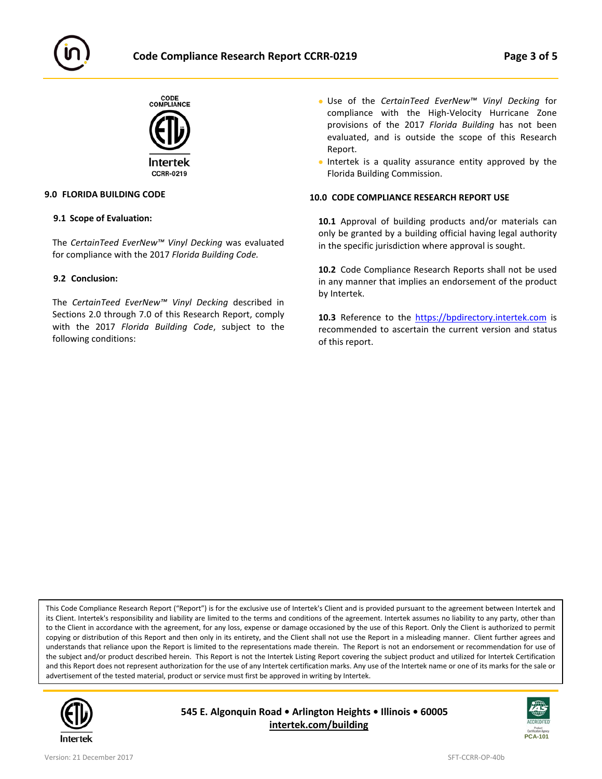



#### **9.0 FLORIDA BUILDING CODE**

#### **9.1 Scope of Evaluation:**

The *CertainTeed EverNew™ Vinyl Decking* was evaluated for compliance with the 2017 *Florida Building Code.*

#### **9.2 Conclusion:**

The *CertainTeed EverNew™ Vinyl Decking* described in Sections 2.0 through 7.0 of this Research Report, comply with the 2017 *Florida Building Code*, subject to the following conditions:

- Use of the *CertainTeed EverNew™ Vinyl Decking* for compliance with the High-Velocity Hurricane Zone provisions of the 2017 *Florida Building* has not been evaluated, and is outside the scope of this Research Report.
- Intertek is a quality assurance entity approved by the Florida Building Commission.

#### **10.0 CODE COMPLIANCE RESEARCH REPORT USE**

**10.1** Approval of building products and/or materials can only be granted by a building official having legal authority in the specific jurisdiction where approval is sought.

**10.2** Code Compliance Research Reports shall not be used in any manner that implies an endorsement of the product by Intertek.

10.3 Reference to the [https://bpdirectory.intertek.com](https://whdirectory.intertek.com/Pages/DLP_Search.aspx) is recommended to ascertain the current version and status of this report.

This Code Compliance Research Report ("Report") is for the exclusive use of Intertek's Client and is provided pursuant to the agreement between Intertek and its Client. Intertek's responsibility and liability are limited to the terms and conditions of the agreement. Intertek assumes no liability to any party, other than to the Client in accordance with the agreement, for any loss, expense or damage occasioned by the use of this Report. Only the Client is authorized to permit copying or distribution of this Report and then only in its entirety, and the Client shall not use the Report in a misleading manner. Client further agrees and understands that reliance upon the Report is limited to the representations made therein. The Report is not an endorsement or recommendation for use of the subject and/or product described herein. This Report is not the Intertek Listing Report covering the subject product and utilized for Intertek Certification and this Report does not represent authorization for the use of any Intertek certification marks. Any use of the Intertek name or one of its marks for the sale or advertisement of the tested material, product or service must first be approved in writing by Intertek.



**545 E. Algonquin Road • Arlington Heights • Illinois • 60005 [intertek.com/building](http://www.intertek.com/building/)**

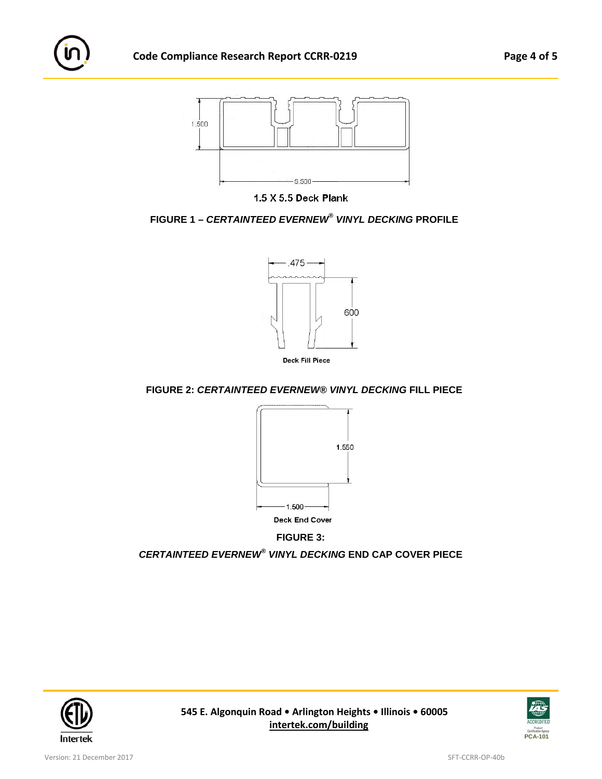



 **FIGURE 1 –** *CERTAINTEED EVERNEW® VINYL DECKING* **PROFILE**



**FIGURE 2:** *CERTAINTEED EVERNEW® VINYL DECKING* **FILL PIECE**



*CERTAINTEED EVERNEW® VINYL DECKING* **END CAP COVER PIECE**